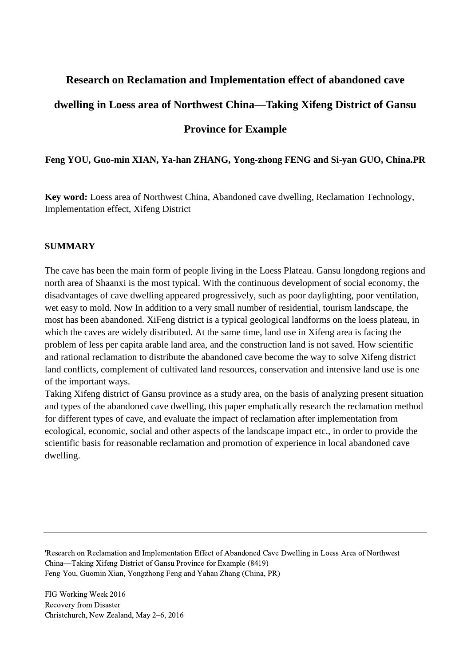# **Research on Reclamation and Implementation effect of abandoned cave dwelling in Loess area of Northwest China—Taking Xifeng District of Gansu Province for Example**

**Feng YOU, Guo-min XIAN, Ya-han ZHANG, Yong-zhong FENG and Si-yan GUO, China.PR**

**Key word:** Loess area of Northwest China, Abandoned cave dwelling, Reclamation Technology, Implementation effect, Xifeng District

#### **SUMMARY**

The cave has been the main form of people living in the Loess Plateau. Gansu longdong regions and north area of Shaanxi is the most typical. With the continuous development of social economy, the disadvantages of cave dwelling appeared progressively, such as poor daylighting, poor ventilation, wet easy to mold. Now In addition to a very small number of residential, tourism landscape, the most has been abandoned. XiFeng district is a typical geological landforms on the loess plateau, in which the caves are widely distributed. At the same time, land use in Xifeng area is facing the problem of less per capita arable land area, and the construction land is not saved. How scientific and rational reclamation to distribute the abandoned cave become the way to solve Xifeng district land conflicts, complement of cultivated land resources, conservation and intensive land use is one of the important ways.

Taking Xifeng district of Gansu province as a study area, on the basis of analyzing present situation and types of the abandoned cave dwelling, this paper emphatically research the reclamation method for different types of cave, and evaluate the impact of reclamation after implementation from ecological, economic, social and other aspects of the landscape impact etc., in order to provide the scientific basis for reasonable reclamation and promotion of experience in local abandoned cave dwelling.

'Research on Reclamation and Implementation Effect of Abandoned Cave Dwelling in Loess Area of Northwest China—Taking Xifeng District of Gansu Province for Example (8419) Feng You, Guomin Xian, Yongzhong Feng and Yahan Zhang (China, PR)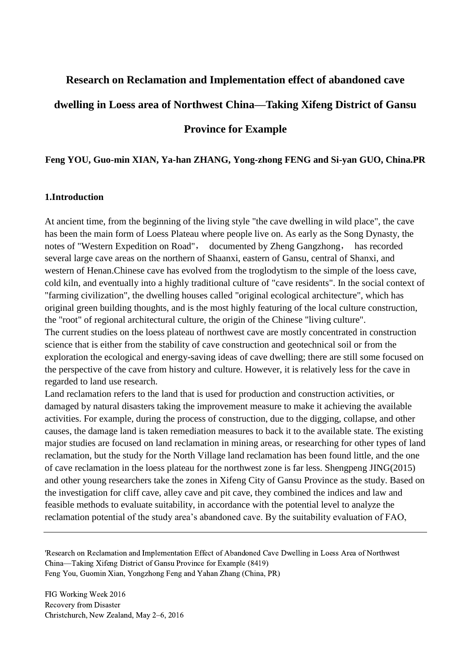# **Research on Reclamation and Implementation effect of abandoned cave**

# **dwelling in Loess area of Northwest China—Taking Xifeng District of Gansu**

## **Province for Example**

#### **Feng YOU, Guo-min XIAN, Ya-han ZHANG, Yong-zhong FENG and Si-yan GUO, China.PR**

#### **1.Introduction**

At ancient time, from the beginning of the living style "the cave dwelling in wild place", the cave has been the main form of Loess Plateau where people live on. As early as the Song Dynasty, the notes of "Western Expedition on Road", documented by Zheng Gangzhong, has recorded several large cave areas on the northern of Shaanxi, eastern of Gansu, central of Shanxi, and western of Henan.Chinese cave has evolved from the troglodytism to the simple of the loess cave, cold kiln, and eventually into a highly traditional culture of "cave residents". In the social context of "farming civilization", the dwelling houses called "original ecological architecture", which has original green building thoughts, and is the most highly featuring of the local culture construction, the "root" of regional architectural culture, the origin of the Chinese "living culture". The current studies on the loess plateau of northwest cave are mostly concentrated in construction science that is either from the stability of cave construction and geotechnical soil or from the exploration the ecological and energy-saving ideas of cave dwelling; there are still some focused on the perspective of the cave from history and culture. However, it is relatively less for the cave in regarded to land use research.

Land reclamation refers to the land that is used for production and construction activities, or damaged by natural disasters taking the improvement measure to make it achieving the available activities. For example, during the process of construction, due to the digging, collapse, and other causes, the damage land is taken remediation measures to back it to the available state. The existing major studies are focused on land reclamation in mining areas, or researching for other types of land reclamation, but the study for the North Village land reclamation has been found little, and the one of cave reclamation in the loess plateau for the northwest zone is far less. Shengpeng JING(2015) and other young researchers take the zones in Xifeng City of Gansu Province as the study. Based on the investigation for cliff cave, alley cave and pit cave, they combined the indices and law and feasible methods to evaluate suitability, in accordance with the potential level to analyze the reclamation potential of the study area's abandoned cave. By the suitability evaluation of FAO,

'Research on Reclamation and Implementation Effect of Abandoned Cave Dwelling in Loess Area of Northwest China—Taking Xifeng District of Gansu Province for Example (8419) Feng You, Guomin Xian, Yongzhong Feng and Yahan Zhang (China, PR)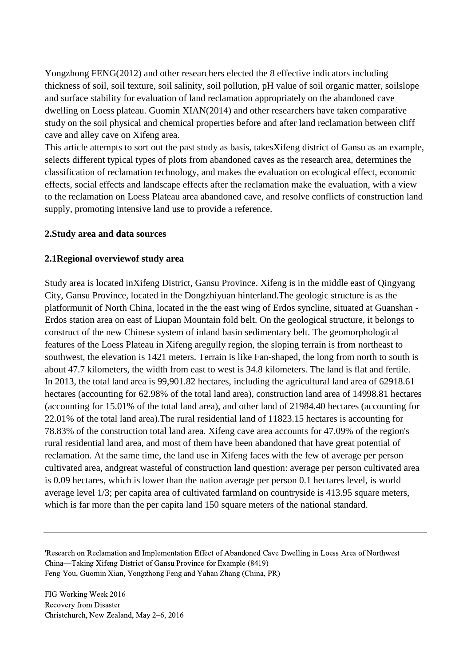Yongzhong FENG(2012) and other researchers elected the 8 effective indicators including thickness of soil, soil texture, soil salinity, soil pollution, pH value of soil organic matter, soilslope and surface stability for evaluation of land reclamation appropriately on the abandoned cave dwelling on Loess plateau. Guomin XIAN(2014) and other researchers have taken comparative study on the soil physical and chemical properties before and after land reclamation between cliff cave and alley cave on Xifeng area.

This article attempts to sort out the past study as basis, takesXifeng district of Gansu as an example, selects different typical types of plots from abandoned caves as the research area, determines the classification of reclamation technology, and makes the evaluation on ecological effect, economic effects, social effects and landscape effects after the reclamation make the evaluation, with a view to the reclamation on Loess Plateau area abandoned cave, and resolve conflicts of construction land supply, promoting intensive land use to provide a reference.

#### **2.Study area and data sources**

#### **2.1Regional overviewof study area**

Study area is located inXifeng District, Gansu Province. Xifeng is in the middle east of Qingyang City, Gansu Province, located in the Dongzhiyuan hinterland.The geologic structure is as the platformunit of North China, located in the the east wing of Erdos syncline, situated at Guanshan - Erdos station area on east of Liupan Mountain fold belt. On the geological structure, it belongs to construct of the new Chinese system of inland basin sedimentary belt. The geomorphological features of the Loess Plateau in Xifeng aregully region, the sloping terrain is from northeast to southwest, the elevation is 1421 meters. Terrain is like Fan-shaped, the long from north to south is about 47.7 kilometers, the width from east to west is 34.8 kilometers. The land is flat and fertile. In 2013, the total land area is 99,901.82 hectares, including the agricultural land area of 62918.61 hectares (accounting for 62.98% of the total land area), construction land area of 14998.81 hectares (accounting for 15.01% of the total land area), and other land of 21984.40 hectares (accounting for 22.01% of the total land area).The rural residential land of 11823.15 hectares is accounting for 78.83% of the construction total land area. Xifeng cave area accounts for 47.09% of the region's rural residential land area, and most of them have been abandoned that have great potential of reclamation. At the same time, the land use in Xifeng faces with the few of average per person cultivated area, andgreat wasteful of construction land question: average per person cultivated area is 0.09 hectares, which is lower than the nation average per person 0.1 hectares level, is world average level 1/3; per capita area of cultivated farmland on countryside is 413.95 square meters, which is far more than the per capita land 150 square meters of the national standard.

<sup>&#</sup>x27;Research on Reclamation and Implementation Effect of Abandoned Cave Dwelling in Loess Area of Northwest China—Taking Xifeng District of Gansu Province for Example (8419) Feng You, Guomin Xian, Yongzhong Feng and Yahan Zhang (China, PR)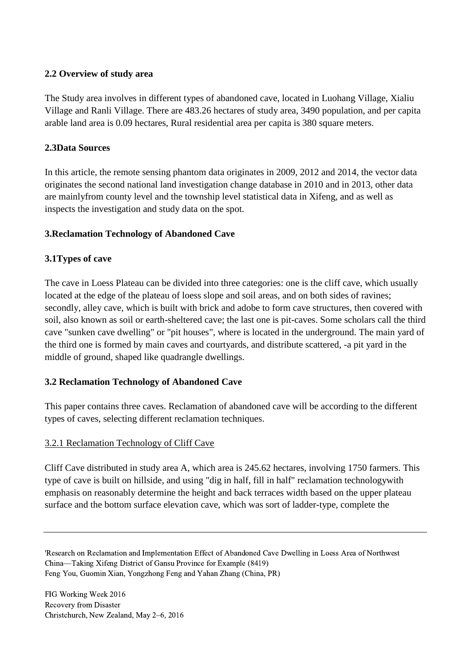## **2.2 Overview of study area**

The Study area involves in different types of abandoned cave, located in Luohang Village, Xialiu Village and Ranli Village. There are 483.26 hectares of study area, 3490 population, and per capita arable land area is 0.09 hectares, Rural residential area per capita is 380 square meters.

## **2.3Data Sources**

In this article, the remote sensing phantom data originates in 2009, 2012 and 2014, the vector data originates the second national land investigation change database in 2010 and in 2013, other data are mainlyfrom county level and the township level statistical data in Xifeng, and as well as inspects the investigation and study data on the spot.

## **3.Reclamation Technology of Abandoned Cave**

## **3.1Types of cave**

The cave in Loess Plateau can be divided into three categories: one is the cliff cave, which usually located at the edge of the plateau of loess slope and soil areas, and on both sides of ravines; secondly, alley cave, which is built with brick and adobe to form cave structures, then covered with soil, also known as soil or earth-sheltered cave; the last one is pit-caves. Some scholars call the third cave "sunken cave dwelling" or "pit houses", where is located in the underground. The main yard of the third one is formed by main caves and courtyards, and distribute scattered, -a pit yard in the middle of ground, shaped like quadrangle dwellings.

## **3.2 Reclamation Technology of Abandoned Cave**

This paper contains three caves. Reclamation of abandoned cave will be according to the different types of caves, selecting different reclamation techniques.

## 3.2.1 Reclamation Technology of Cliff Cave

Cliff Cave distributed in study area A, which area is 245.62 hectares, involving 1750 farmers. This type of cave is built on hillside, and using "dig in half, fill in half" reclamation technologywith emphasis on reasonably determine the height and back terraces width based on the upper plateau surface and the bottom surface elevation cave, which was sort of ladder-type, complete the

<sup>&#</sup>x27;Research on Reclamation and Implementation Effect of Abandoned Cave Dwelling in Loess Area of Northwest China—Taking Xifeng District of Gansu Province for Example (8419) Feng You, Guomin Xian, Yongzhong Feng and Yahan Zhang (China, PR)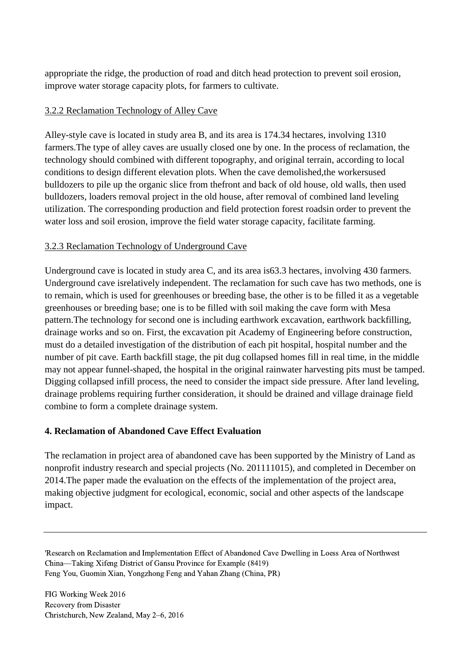appropriate the ridge, the production of road and ditch head protection to prevent soil erosion, improve water storage capacity plots, for farmers to cultivate.

## 3.2.2 Reclamation Technology of Alley Cave

Alley-style cave is located in study area B, and its area is 174.34 hectares, involving 1310 farmers.The type of alley caves are usually closed one by one. In the process of reclamation, the technology should combined with different topography, and original terrain, according to local conditions to design different elevation plots. When the cave demolished,the workersused bulldozers to pile up the organic slice from thefront and back of old house, old walls, then used bulldozers, loaders removal project in the old house, after removal of combined land leveling utilization. The corresponding production and field protection forest roadsin order to prevent the water loss and soil erosion, improve the field water storage capacity, facilitate farming.

## 3.2.3 Reclamation Technology of Underground Cave

Underground cave is located in study area C, and its area is63.3 hectares, involving 430 farmers. Underground cave isrelatively independent. The reclamation for such cave has two methods, one is to remain, which is used for greenhouses or breeding base, the other is to be filled it as a vegetable greenhouses or breeding base; one is to be filled with soil making the cave form with Mesa pattern.The technology for second one is including earthwork excavation, earthwork backfilling, drainage works and so on. First, the excavation pit Academy of Engineering before construction, must do a detailed investigation of the distribution of each pit hospital, hospital number and the number of pit cave. Earth backfill stage, the pit dug collapsed homes fill in real time, in the middle may not appear funnel-shaped, the hospital in the original rainwater harvesting pits must be tamped. Digging collapsed infill process, the need to consider the impact side pressure. After land leveling, drainage problems requiring further consideration, it should be drained and village drainage field combine to form a complete drainage system.

## **4. Reclamation of Abandoned Cave Effect Evaluation**

The reclamation in project area of abandoned cave has been supported by the Ministry of Land as nonprofit industry research and special projects (No. 201111015), and completed in December on 2014.The paper made the evaluation on the effects of the implementation of the project area, making objective judgment for ecological, economic, social and other aspects of the landscape impact.

<sup>&#</sup>x27;Research on Reclamation and Implementation Effect of Abandoned Cave Dwelling in Loess Area of Northwest China—Taking Xifeng District of Gansu Province for Example (8419) Feng You, Guomin Xian, Yongzhong Feng and Yahan Zhang (China, PR)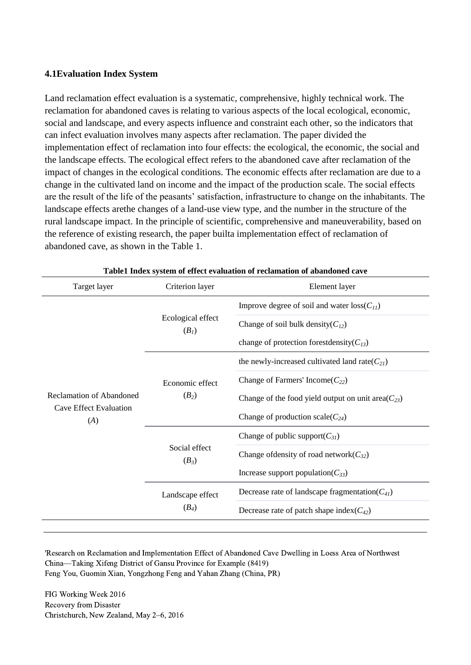#### **4.1Evaluation Index System**

Land reclamation effect evaluation is a systematic, comprehensive, highly technical work. The reclamation for abandoned caves is relating to various aspects of the local ecological, economic, social and landscape, and every aspects influence and constraint each other, so the indicators that can infect evaluation involves many aspects after reclamation. The paper divided the implementation effect of reclamation into four effects: the ecological, the economic, the social and the landscape effects. The ecological effect refers to the abandoned cave after reclamation of the impact of changes in the ecological conditions. The economic effects after reclamation are due to a change in the cultivated land on income and the impact of the production scale. The social effects are the result of the life of the peasants' satisfaction, infrastructure to change on the inhabitants. The landscape effects arethe changes of a land-use view type, and the number in the structure of the rural landscape impact. In the principle of scientific, comprehensive and maneuverability, based on the reference of existing research, the paper builta implementation effect of reclamation of abandoned cave, as shown in the Table 1.

| Target layer                         | Criterion layer                              | Element layer                                            |  |  |  |
|--------------------------------------|----------------------------------------------|----------------------------------------------------------|--|--|--|
|                                      |                                              | Improve degree of soil and water $loss(C_{11})$          |  |  |  |
|                                      | Ecological effect<br>(B <sub>1</sub> )       | Change of soil bulk density( $C_{12}$ )                  |  |  |  |
|                                      |                                              | change of protection forestdensity( $C_{13}$ )           |  |  |  |
|                                      |                                              | the newly-increased cultivated land rate( $C_{21}$ )     |  |  |  |
|                                      | Economic effect<br>$(B_2)$                   | Change of Farmers' Income( $C_{22}$ )                    |  |  |  |
| Reclamation of Abandoned             |                                              | Change of the food yield output on unit area( $C_{23}$ ) |  |  |  |
| <b>Cave Effect Evaluation</b><br>(A) |                                              | Change of production scale( $C_{24}$ )                   |  |  |  |
|                                      | Social effect<br>$(B_3)$<br>Landscape effect | Change of public support( $C_{31}$ )                     |  |  |  |
|                                      |                                              | Change of density of road network $(C_{32})$             |  |  |  |
|                                      |                                              | Increase support population( $C_{33}$ )                  |  |  |  |
|                                      |                                              | Decrease rate of landscape fragmentation( $C_{41}$ )     |  |  |  |
|                                      | $(B_4)$                                      | Decrease rate of patch shape index $(C_{42})$            |  |  |  |

**Table1 Index system of effect evaluation of reclamation of abandoned cave**

'Research on Reclamation and Implementation Effect of Abandoned Cave Dwelling in Loess Area of Northwest China—Taking Xifeng District of Gansu Province for Example (8419) Feng You, Guomin Xian, Yongzhong Feng and Yahan Zhang (China, PR)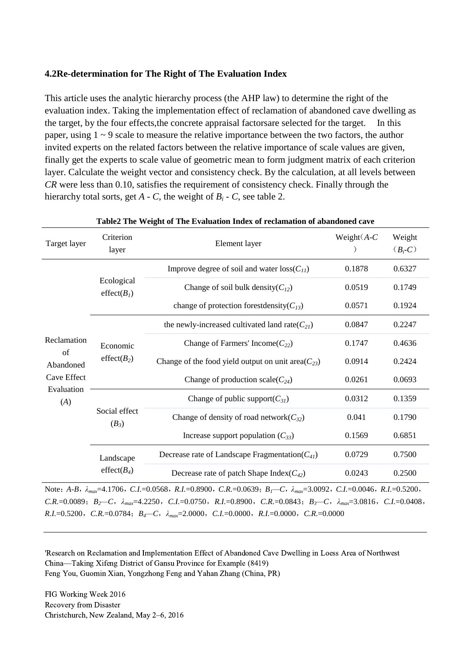#### **4.2Re-determination for The Right of The Evaluation Index**

This article uses the analytic hierarchy process (the AHP law) to determine the right of the evaluation index. Taking the implementation effect of reclamation of abandoned cave dwelling as the target, by the four effects,the concrete appraisal factorsare selected for the target. In this paper, using  $1 \sim 9$  scale to measure the relative importance between the two factors, the author invited experts on the related factors between the relative importance of scale values are given, finally get the experts to scale value of geometric mean to form judgment matrix of each criterion layer. Calculate the weight vector and consistency check. By the calculation, at all levels between *CR* were less than 0.10, satisfies the requirement of consistency check. Finally through the hierarchy total sorts, get  $A - C$ , the weight of  $B_i - C$ , see table 2.

| Table2 The Weight of The Evaluation Index of reclamation of abandoned cave                                                                       |                                       |                                                          |                |                     |  |  |  |  |  |
|--------------------------------------------------------------------------------------------------------------------------------------------------|---------------------------------------|----------------------------------------------------------|----------------|---------------------|--|--|--|--|--|
| Target layer                                                                                                                                     | Criterion<br>layer                    | Element layer                                            | Weight $(A-C)$ | Weight<br>$(B_i-C)$ |  |  |  |  |  |
| Reclamation<br>of<br>Abandoned<br>Cave Effect<br>Evaluation<br>(A)                                                                               |                                       | Improve degree of soil and water $loss(C_{11})$          | 0.1878         | 0.6327              |  |  |  |  |  |
|                                                                                                                                                  | Ecological<br>effect(B <sub>1</sub> ) | Change of soil bulk density( $C_{12}$ )                  | 0.0519         | 0.1749              |  |  |  |  |  |
|                                                                                                                                                  |                                       | change of protection forestdensity( $C_{13}$ )           | 0.0571         | 0.1924              |  |  |  |  |  |
|                                                                                                                                                  |                                       | the newly-increased cultivated land rate( $C_{21}$ )     | 0.0847         | 0.2247              |  |  |  |  |  |
|                                                                                                                                                  | Economic                              | Change of Farmers' Income( $C_{22}$ )                    | 0.1747         | 0.4636              |  |  |  |  |  |
|                                                                                                                                                  | effect $(B_2)$                        | Change of the food yield output on unit area( $C_{23}$ ) | 0.0914         | 0.2424              |  |  |  |  |  |
|                                                                                                                                                  |                                       | Change of production scale( $C_{24}$ )                   | 0.0261         | 0.0693              |  |  |  |  |  |
|                                                                                                                                                  |                                       | Change of public support( $C_{31}$ )                     | 0.0312         | 0.1359              |  |  |  |  |  |
|                                                                                                                                                  | Social effect<br>$(B_3)$              | Change of density of road network $(C_{32})$             | 0.041          | 0.1790              |  |  |  |  |  |
|                                                                                                                                                  |                                       | Increase support population $(C_{33})$                   | 0.1569         | 0.6851              |  |  |  |  |  |
|                                                                                                                                                  | Landscape                             | Decrease rate of Landscape Fragmentation( $C_{41}$ )     | 0.0729         | 0.7500              |  |  |  |  |  |
|                                                                                                                                                  | effect( $B_4$ )                       | Decrease rate of patch Shape Index( $C_{42}$ )           | 0.0243         | 0.2500              |  |  |  |  |  |
| Note: A-B, $\lambda_{max}$ =4.1706, C.I.=0.0568, R.I.=0.8900, C.R.=0.0639; B <sub>1</sub> -C, $\lambda_{max}$ =3.0092, C.I.=0.0046, R.I.=0.5200, |                                       |                                                          |                |                     |  |  |  |  |  |
| $C.R. = 0.0089; B_2 - C, \lambda_{max} = 4.2250, C.I. = 0.0750, R.I. = 0.8900, C.R. = 0.0843; B_3 - C, \lambda_{max} = 3.0816, C.I. = 0.0408,$   |                                       |                                                          |                |                     |  |  |  |  |  |

*R.I.*=0.5200,*C.R.*=0.0784;*B4—C*,*λmax*=2.0000,*C.I.*=0.0000,*R.I.*=0.0000,*C.R.*=0.0000

'Research on Reclamation and Implementation Effect of Abandoned Cave Dwelling in Loess Area of Northwest China—Taking Xifeng District of Gansu Province for Example (8419) Feng You, Guomin Xian, Yongzhong Feng and Yahan Zhang (China, PR)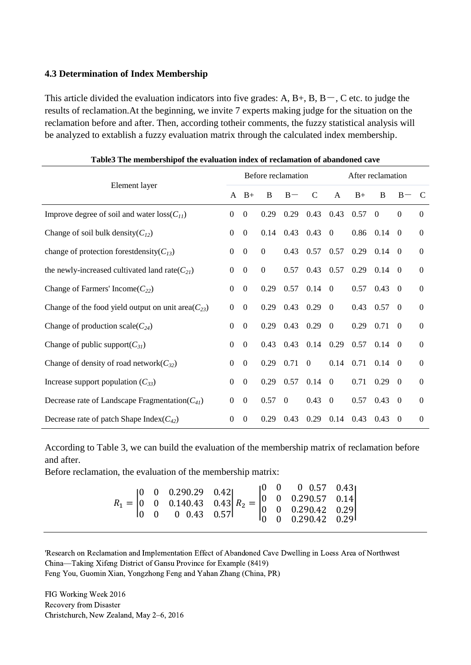## **4.3 Determination of Index Membership**

This article divided the evaluation indicators into five grades: A,  $B+$ ,  $B$ ,  $B-$ ,  $C$  etc. to judge the results of reclamation.At the beginning, we invite 7 experts making judge for the situation on the reclamation before and after. Then, according totheir comments, the fuzzy statistical analysis will be analyzed to extablish a fuzzy evaluation matrix through the calculated index membership.

| талко тие пилностянрог им станаанон нием от генанианон ог аланионеа сате |                  |                    |                |               |                |                  |                   |                |                |                  |
|--------------------------------------------------------------------------|------------------|--------------------|----------------|---------------|----------------|------------------|-------------------|----------------|----------------|------------------|
| Element layer                                                            |                  | Before reclamation |                |               |                |                  | After reclamation |                |                |                  |
|                                                                          |                  | $B+$               | B              | $B -$         | C              | A                | $B+$              | B              | $B -$          | $\mathbf C$      |
| Improve degree of soil and water $loss(C_{11})$                          | $\boldsymbol{0}$ | $\Omega$           | 0.29           | 0.29          | 0.43           | 0.43             | 0.57              | $\Omega$       | $\Omega$       | $\Omega$         |
| Change of soil bulk density( $C_{12}$ )                                  | $\boldsymbol{0}$ | $\boldsymbol{0}$   | 0.14           | 0.43          | 0.43           | $\boldsymbol{0}$ | 0.86              | 0.14           | $\Omega$       | $\boldsymbol{0}$ |
| change of protection forestdensity( $C_{13}$ )                           | $\boldsymbol{0}$ | $\mathbf{0}$       | $\mathbf{0}$   | 0.43          | 0.57           | 0.57             | 0.29              | $0.14 \quad 0$ |                | $\theta$         |
| the newly-increased cultivated land rate( $C_{21}$ )                     | $\boldsymbol{0}$ | $\Omega$           | $\mathbf{0}$   | 0.57          | 0.43           | 0.57             | 0.29              | 0.14           | $\theta$       | $\mathbf{0}$     |
| Change of Farmers' Income( $C_{22}$ )                                    | $\boldsymbol{0}$ | $\boldsymbol{0}$   | 0.29           |               | $0.57$ 0.14 0  |                  | 0.57              | 0.43           | $\theta$       | $\boldsymbol{0}$ |
| Change of the food yield output on unit area( $C_{23}$ )                 | $\Omega$         | $\overline{0}$     | 0.29           | $0.43$ 0.29 0 |                |                  | 0.43              | $0.57 \quad 0$ |                | $\mathbf{0}$     |
| Change of production scale( $C_{24}$ )                                   | $\boldsymbol{0}$ | $\boldsymbol{0}$   | 0.29           | 0.43          | 0.29           | $\overline{0}$   | 0.29              | 0.71           | $\overline{0}$ | $\mathbf{0}$     |
| Change of public support( $C_{31}$ )                                     | $\overline{0}$   | $\theta$           | 0.43           |               | $0.43$ 0.14    | 0.29             | 0.57              | $0.14 \quad 0$ |                | $\mathbf{0}$     |
| Change of density of road network $(C_{32})$                             | $\boldsymbol{0}$ | $\boldsymbol{0}$   | 0.29           | 0.71          | $\overline{0}$ | 0.14             | 0.71              | $0.14 \quad 0$ |                | $\boldsymbol{0}$ |
| Increase support population $(C_{33})$                                   | $\boldsymbol{0}$ | $\Omega$           | 0.29           | 0.57          | 0.14           | $\overline{0}$   | 0.71              | 0.29           | $\theta$       | $\mathbf{0}$     |
| Decrease rate of Landscape Fragmentation( $C_{41}$ )                     | $\boldsymbol{0}$ | $\mathbf{0}$       | $0.57 \quad 0$ |               | 0.43           | $\overline{0}$   | 0.57              | 0.43           | $\overline{0}$ | $\mathbf{0}$     |
| Decrease rate of patch Shape Index( $C_{42}$ )                           | $\boldsymbol{0}$ | $\Omega$           | 0.29           | 0.43          | 0.29           | 0.14             | 0.43              | 0.43           | $\theta$       | $\overline{0}$   |

**Table3 The membershipof the evaluation index of reclamation of abandoned cave**

According to Table 3, we can build the evaluation of the membership matrix of reclamation before and after.

Before reclamation, the evaluation of the membership matrix:

|  |  | $R_1 = \begin{vmatrix} 0 & 0 & 0.290.29 & 0.42 \\ 0 & 0 & 0.140.43 & 0.43 \\ 0 & 0 & 0.43 & 0.57 \end{vmatrix}$ $R_2 = \begin{vmatrix} 0 & 0 & 0 & 0.57 & 0.43 \\ 0 & 0 & 0.290.57 & 0.14 \\ 0 & 0 & 0.290.42 & 0.29 \\ 0 & 0 & 0.290.42 & 0.29 \end{vmatrix}$ |  |  |  |  |  |
|--|--|----------------------------------------------------------------------------------------------------------------------------------------------------------------------------------------------------------------------------------------------------------------|--|--|--|--|--|
|--|--|----------------------------------------------------------------------------------------------------------------------------------------------------------------------------------------------------------------------------------------------------------------|--|--|--|--|--|

'Research on Reclamation and Implementation Effect of Abandoned Cave Dwelling in Loess Area of Northwest China—Taking Xifeng District of Gansu Province for Example (8419) Feng You, Guomin Xian, Yongzhong Feng and Yahan Zhang (China, PR)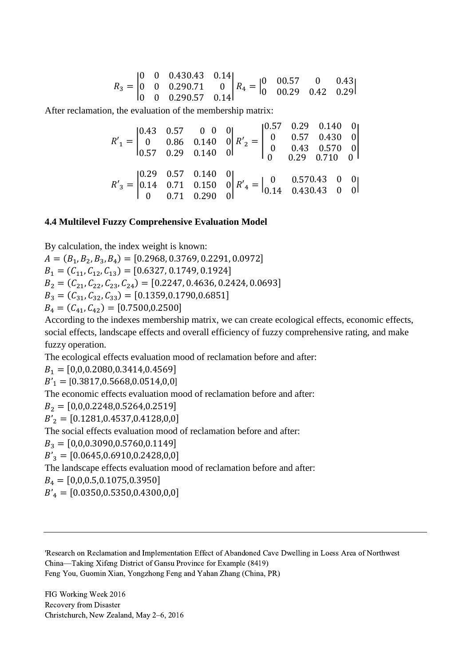$R_3 = |$ 0 0 0.43 0 0 0.29 0 0 0.29 0.43 0.14 0.71 0 0.57 0.14  $R_4 = \begin{bmatrix} 0 & 0 \\ 0 & 0 \end{bmatrix}$ 0 0 0.57 0 0.43 0.29 0.42 0.29|

After reclamation, the evaluation of the membership matrix:

| $R'_{1} = \begin{bmatrix} 0.43 & 0.57 & 0 & 0 & 0 \\ 0 & 0.86 & 0.140 & 0 \\ 0.57 & 0.29 & 0.140 & 0 \end{bmatrix}$ $R'_{2} = \begin{bmatrix} 0.57 & 0.29 & 0.140 & 0 \\ 0 & 0.57 & 0.430 & 0 \\ 0 & 0.43 & 0.570 & 0 \\ 0 & 0.29 & 0.710 & 0 \end{bmatrix}$ |  |  |  |
|--------------------------------------------------------------------------------------------------------------------------------------------------------------------------------------------------------------------------------------------------------------|--|--|--|
| $R'_{3} = \begin{vmatrix} 0.29 & 0.57 & 0.140 & 0 \\ 0.14 & 0.71 & 0.150 & 0 \\ 0 & 0.71 & 0.290 & 0 \end{vmatrix} R'_{4} = \begin{vmatrix} 0 & 0.570.43 & 0 & 0 \\ 0.14 & 0.430.43 & 0 & 0 \end{vmatrix}$                                                   |  |  |  |

#### **4.4 Multilevel Fuzzy Comprehensive Evaluation Model**

By calculation, the index weight is known:

 $A = (B_1, B_2, B_3, B_4) = [0.2968, 0.3769, 0.2291, 0.0972]$  $B_1 = (C_{11}, C_{12}, C_{13}) = [0.6327, 0.1749, 0.1924]$  $B_2 = (C_{21}, C_{22}, C_{23}, C_{24}) = [0.2247, 0.4636, 0.2424, 0.0693]$  $B_3 = (C_{31}, C_{32}, C_{33}) = [0.1359, 0.1790, 0.6851]$  $B_4 = (C_{41}, C_{42}) = [0.7500, 0.2500]$ 

According to the indexes membership matrix, we can create ecological effects, economic effects, social effects, landscape effects and overall efficiency of fuzzy comprehensive rating, and make fuzzy operation.

The ecological effects evaluation mood of reclamation before and after:

 $B_1 = [0,0,0.2080,0.3414,0.4569]$ 

 $B'_1$  = [0.3817,0.5668,0.0514,0,0]

The economic effects evaluation mood of reclamation before and after:

 $B_2 = [0,0,0.2248,0.5264,0.2519]$ 

 $B'_{2} = [0.1281, 0.4537, 0.4128, 0, 0]$ 

The social effects evaluation mood of reclamation before and after:

 $B_3 = [0,0,0.3090,0.5760,0.1149]$ 

 $B'_{3} = [0.0645, 0.6910, 0.2428, 0, 0]$ 

The landscape effects evaluation mood of reclamation before and after:

 $B_4 = [0,0,0.5,0.1075,0.3950]$ 

 $B'_4 = [0.0350, 0.5350, 0.4300, 0, 0]$ 

'Research on Reclamation and Implementation Effect of Abandoned Cave Dwelling in Loess Area of Northwest China—Taking Xifeng District of Gansu Province for Example (8419) Feng You, Guomin Xian, Yongzhong Feng and Yahan Zhang (China, PR)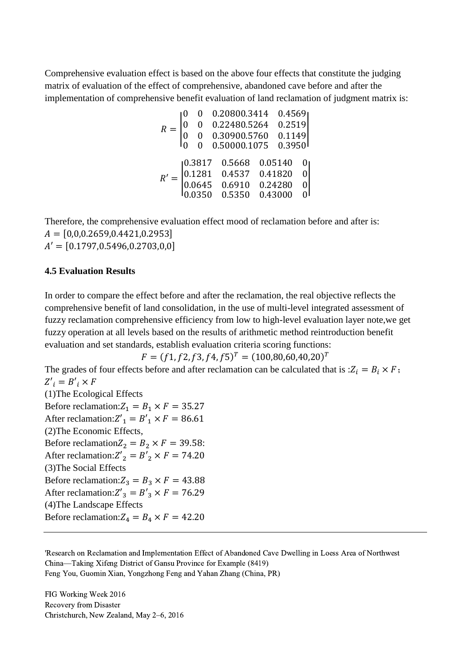Comprehensive evaluation effect is based on the above four effects that constitute the judging matrix of evaluation of the effect of comprehensive, abandoned cave before and after the implementation of comprehensive benefit evaluation of land reclamation of judgment matrix is:

$$
R = \begin{bmatrix} 0 & 0 & 0.20800.3414 & 0.4569 \\ 0 & 0 & 0.22480.5264 & 0.2519 \\ 0 & 0 & 0.30900.5760 & 0.1149 \\ 0 & 0 & 0.50000.1075 & 0.3950 \end{bmatrix}
$$

$$
R' = \begin{bmatrix} 0.3817 & 0.5668 & 0.05140 & 0 \\ 0.1281 & 0.4537 & 0.41820 & 0 \\ 0.0645 & 0.6910 & 0.24280 & 0 \\ 0.0350 & 0.5350 & 0.43000 & 0 \end{bmatrix}
$$

Therefore, the comprehensive evaluation effect mood of reclamation before and after is:  $A = [0,0,0.2659,0.4421,0.2953]$  $A' = [0.1797, 0.5496, 0.2703, 0.0]$ 

#### **4.5 Evaluation Results**

In order to compare the effect before and after the reclamation, the real objective reflects the comprehensive benefit of land consolidation, in the use of multi-level integrated assessment of fuzzy reclamation comprehensive efficiency from low to high-level evaluation layer note,we get fuzzy operation at all levels based on the results of arithmetic method reintroduction benefit evaluation and set standards, establish evaluation criteria scoring functions:

$$
F = (f1, f2, f3, f4, f5)^T = (100, 80, 60, 40, 20)^T
$$

The grades of four effects before and after reclamation can be calculated that is : $Z_i = B_i \times F$ ;  $Z'_i = B'_i \times F$ (1)The Ecological Effects Before reclamation: $Z_1 = B_1 \times F = 35.27$ After reclamation:  $Z'_1 = B'_1 \times F = 86.61$ (2)The Economic Effects, Before reclamation $Z_2 = B_2 \times F = 39.58$ : After reclamation:  $Z'_2 = B'_2 \times F = 74.20$ (3)The Social Effects Before reclamation: $Z_3 = B_3 \times F = 43.88$ After reclamation:  $Z'_3 = B'_3 \times F = 76.29$ (4)The Landscape Effects Before reclamation:  $Z_4 = B_4 \times F = 42.20$ 

'Research on Reclamation and Implementation Effect of Abandoned Cave Dwelling in Loess Area of Northwest China—Taking Xifeng District of Gansu Province for Example (8419) Feng You, Guomin Xian, Yongzhong Feng and Yahan Zhang (China, PR)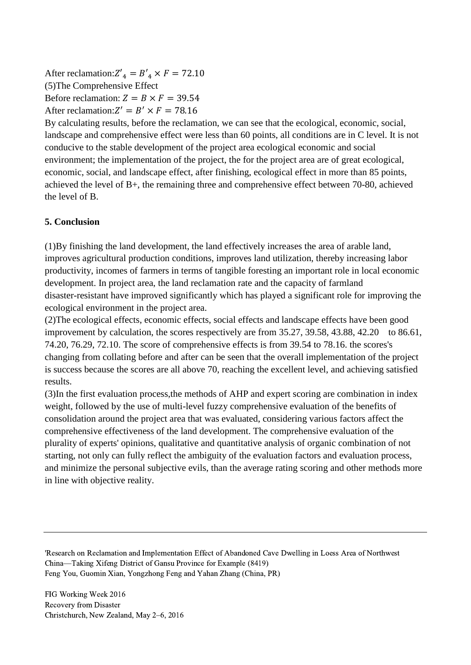After reclamation:  $Z'_4 = B'_4 \times F = 72.10$ (5)The Comprehensive Effect Before reclamation:  $Z = B \times F = 39.54$ After reclamation:  $Z' = B' \times F = 78.16$ 

By calculating results, before the reclamation, we can see that the ecological, economic, social, landscape and comprehensive effect were less than 60 points, all conditions are in C level. It is not conducive to the stable development of the project area ecological economic and social environment; the implementation of the project, the for the project area are of great ecological, economic, social, and landscape effect, after finishing, ecological effect in more than 85 points, achieved the level of B+, the remaining three and comprehensive effect between 70-80, achieved the level of B.

## **5. Conclusion**

(1)By finishing the land development, the land effectively increases the area of arable land, improves agricultural production conditions, improves land utilization, thereby increasing labor productivity, incomes of farmers in terms of tangible foresting an important role in local economic development. In project area, the land reclamation rate and the capacity of farmland disaster-resistant have improved significantly which has played a significant role for improving the ecological environment in the project area.

(2)The ecological effects, economic effects, social effects and landscape effects have been good improvement by calculation, the scores respectively are from 35.27, 39.58, 43.88, 42.20 to 86.61, 74.20, 76.29, 72.10. The score of comprehensive effects is from 39.54 to 78.16. the scores's changing from collating before and after can be seen that the overall implementation of the project is success because the scores are all above 70, reaching the excellent level, and achieving satisfied results.

(3)In the first evaluation process,the methods of AHP and expert scoring are combination in index weight, followed by the use of multi-level fuzzy comprehensive evaluation of the benefits of consolidation around the project area that was evaluated, considering various factors affect the comprehensive effectiveness of the land development. The comprehensive evaluation of the plurality of experts' opinions, qualitative and quantitative analysis of organic combination of not starting, not only can fully reflect the ambiguity of the evaluation factors and evaluation process, and minimize the personal subjective evils, than the average rating scoring and other methods more in line with objective reality.

<sup>&#</sup>x27;Research on Reclamation and Implementation Effect of Abandoned Cave Dwelling in Loess Area of Northwest China—Taking Xifeng District of Gansu Province for Example (8419) Feng You, Guomin Xian, Yongzhong Feng and Yahan Zhang (China, PR)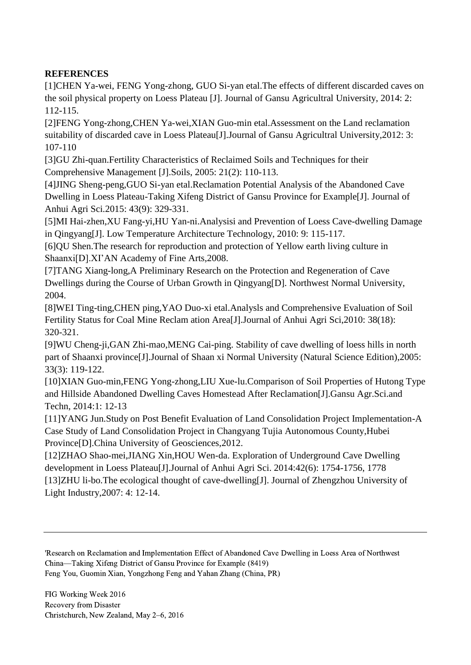# **REFERENCES**

[1]CHEN Ya-wei, FENG Yong-zhong, GUO Si-yan etal.The effects of different discarded caves on the soil physical property on Loess Plateau [J]. Journal of Gansu Agricultral University, 2014: 2: 112-115.

[2]FENG Yong-zhong,CHEN Ya-wei,XIAN Guo-min etal.Assessment on the Land reclamation suitability of discarded cave in Loess Plateau<sup>[J]</sup>. Journal of Gansu Agricultral University, 2012: 3: 107-110

[3]GU Zhi-quan.Fertility Characteristics of Reclaimed Soils and Techniques for their Comprehensive Management [J].Soils, 2005: 21(2): 110-113.

[4]JING Sheng-peng,GUO Si-yan etal.Reclamation Potential Analysis of the Abandoned Cave Dwelling in Loess Plateau-Taking Xifeng District of Gansu Province for Example[J]. Journal of Anhui Agri Sci.2015: 43(9): 329-331.

[5]MI Hai-zhen,XU Fang-yi,HU Yan-ni.Analysisi and Prevention of Loess Cave-dwelling Damage in Qingyang[J]. Low Temperature Architecture Technology, 2010: 9: 115-117.

[6]QU Shen.The research for reproduction and protection of Yellow earth living culture in Shaanxi[D].XI'AN Academy of Fine Arts,2008.

[7]TANG Xiang-long,A Preliminary Research on the Protection and Regeneration of Cave Dwellings during the Course of Urban Growth in Qingyang[D]. Northwest Normal University, 2004.

[8]WEI Ting-ting,CHEN ping,YAO Duo-xi etal.Analysls and Comprehensive Evaluation of Soil Fertility Status for Coal Mine Reclam ation Area[J].Journal of Anhui Agri Sci,2010: 38(18): 320-321.

[9]WU Cheng-ji,GAN Zhi-mao,MENG Cai-ping. Stability of cave dwelling of loess hills in north part of Shaanxi province[J].Journal of Shaan xi Normal University (Natural Science Edition),2005: 33(3): 119-122.

[10]XIAN Guo-min,FENG Yong-zhong,LIU Xue-lu.Comparison of Soil Properties of Hutong Type and Hillside Abandoned Dwelling Caves Homestead After Reclamation[J].Gansu Agr.Sci.and Techn, 2014:1: 12-13

[11]YANG Jun.Study on Post Benefit Evaluation of Land Consolidation Project Implementation-A Case Study of Land Consolidation Project in Changyang Tujia Autonomous County,Hubei Province[D].China University of Geosciences,2012.

[12]ZHAO Shao-mei,JIANG Xin,HOU Wen-da. Exploration of Underground Cave Dwelling development in Loess Plateau[J].Journal of Anhui Agri Sci. 2014:42(6): 1754-1756, 1778 [13]ZHU li-bo.The ecological thought of cave-dwelling[J]. Journal of Zhengzhou University of Light Industry,2007: 4: 12-14.

'Research on Reclamation and Implementation Effect of Abandoned Cave Dwelling in Loess Area of Northwest China—Taking Xifeng District of Gansu Province for Example (8419) Feng You, Guomin Xian, Yongzhong Feng and Yahan Zhang (China, PR)